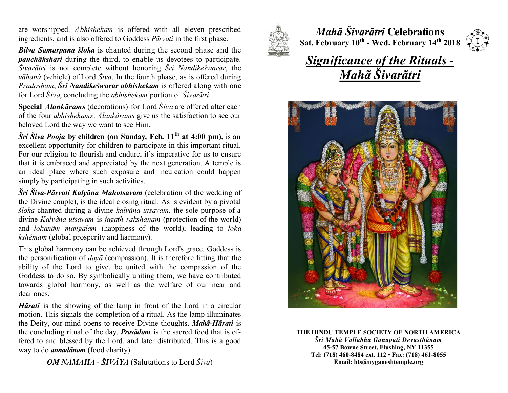are worshipped. *Abhishekam* is offered with all eleven prescribed ingredients, and is also offered to Goddess *Pãrvati* in the first phase.

*Bilva Samarpana šloka* is chanted during the second phase and the *panchãkshari* during the third, to enable us devotees to participate. *Šivarãtri* is not complete without honoring *Šri Nandikešwarar*, the *vãhanã* (vehicle) of Lord *Šiva*. In the fourth phase, as is offered during *Pradosham*, *Šri Nandikešwarar abhishekam* is offered along with one for Lord *Šiva*, concluding the *abhishekam* portion of *Šivarãtri*.

**Special** *Alankãrams* (decorations) for Lord *Šiva* are offered after each of the four *abhishekams*. *Alankãrams* give us the satisfaction to see our beloved Lord the way we want to see Him.

*Šri Šiva Pooja* **by children (on Sunday, Feb. 11th at 4:00 pm),** is an excellent opportunity for children to participate in this important ritual. For our religion to flourish and endure, it's imperative for us to ensure that it is embraced and appreciated by the next generation. A temple is an ideal place where such exposure and inculcation could happen simply by participating in such activities.

*Šri Šiva-Pãrvati Kalyãna Mahotsavam* (celebration of the wedding of the Divine couple), is the ideal closing ritual. As is evident by a pivotal *šloka* chanted during a divine *kalyãna utsavam,* the sole purpose of a divine *Kalyãna utsavam* is *jagath rakshanam* (protection of the world) and *lokanãm mangalam* (happiness of the world), leading to *loka kshémam* (global prosperity and harmony).

This global harmony can be achieved through Lord's grace. Goddess is the personification of *dayã* (compassion). It is therefore fitting that the ability of the Lord to give, be united with the compassion of the Goddess to do so. By symbolically uniting them, we have contributed towards global harmony, as well as the welfare of our near and dear ones.

*Hãrati* is the showing of the lamp in front of the Lord in a circular motion. This signals the completion of a ritual. As the lamp illuminates the Deity, our mind opens to receive Divine thoughts. *Mahã-Hãrati* is the concluding ritual of the day. *Prasãdam* is the sacred food that is offered to and blessed by the Lord, and later distributed. This is a good way to do *annadãnam* (food charity).

*OM NAMAHA - ŠIVÃYA* (Salutations to Lord *Šiva*)



*Mahã Šivarãtri* **Celebrations Sat. February 10th - Wed. February 14th 2018**



## *Significance of the Rituals - Mahã Šivarãtri*



**THE HINDU TEMPLE SOCIETY OF NORTH AMERICA** *Šri Mahã Vallabha Ganapati Devasthãnam* **45-57 Bowne Street, Flushing, NY 11355 Tel: (718) 460-8484 ext. 112 • Fax: (718) 461-8055 Email: hts@nyganeshtemple.org**